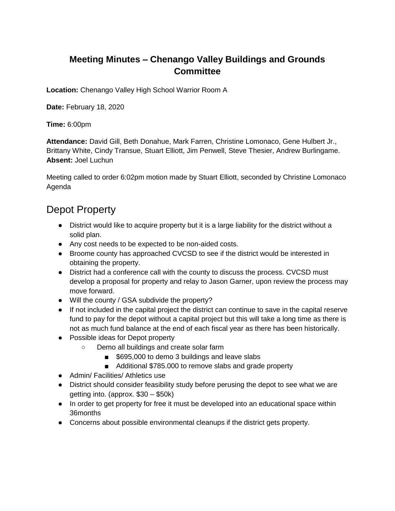### **Meeting Minutes – Chenango Valley Buildings and Grounds Committee**

**Location:** Chenango Valley High School Warrior Room A

**Date:** February 18, 2020

**Time:** 6:00pm

**Attendance:** David Gill, Beth Donahue, Mark Farren, Christine Lomonaco, Gene Hulbert Jr., Brittany White, Cindy Transue, Stuart Elliott, Jim Penwell, Steve Thesier, Andrew Burlingame. **Absent:** Joel Luchun

Meeting called to order 6:02pm motion made by Stuart Elliott, seconded by Christine Lomonaco Agenda

## Depot Property

- District would like to acquire property but it is a large liability for the district without a solid plan.
- Any cost needs to be expected to be non-aided costs.
- Broome county has approached CVCSD to see if the district would be interested in obtaining the property.
- District had a conference call with the county to discuss the process. CVCSD must develop a proposal for property and relay to Jason Garner, upon review the process may move forward.
- Will the county / GSA subdivide the property?
- If not included in the capital project the district can continue to save in the capital reserve fund to pay for the depot without a capital project but this will take a long time as there is not as much fund balance at the end of each fiscal year as there has been historically.
- Possible ideas for Depot property
	- Demo all buildings and create solar farm
		- \$695,000 to demo 3 buildings and leave slabs
		- Additional \$785.000 to remove slabs and grade property
- Admin/ Facilities/ Athletics use
- District should consider feasibility study before perusing the depot to see what we are getting into. (approx. \$30 – \$50k)
- In order to get property for free it must be developed into an educational space within 36months
- Concerns about possible environmental cleanups if the district gets property.